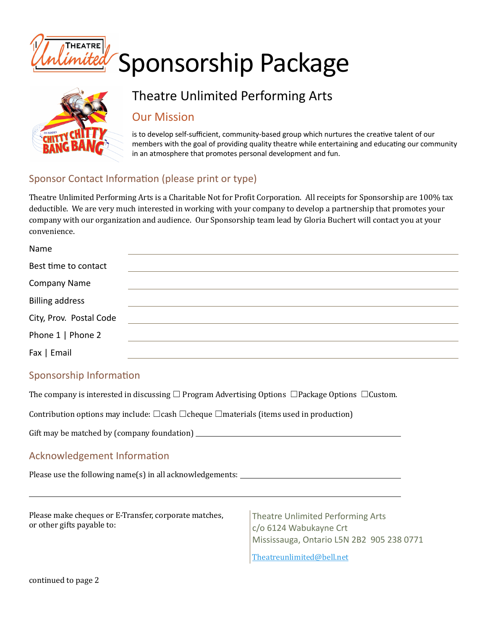

# Theatre Unlimited Performing Arts

# Our Mission

is to develop self-sufficient, community-based group which nurtures the creative talent of our members with the goal of providing quality theatre while entertaining and educating our community in an atmosphere that promotes personal development and fun.

### Sponsor Contact Information (please print or type)

Theatre Unlimited Performing Arts is a Charitable Not for Profit Corporation. All receipts for Sponsorship are 100% tax deductible. We are very much interested in working with your company to develop a partnership that promotes your company with our organization and audience. Our Sponsorship team lead by Gloria Buchert will contact you at your convenience.

| Name                    |  |
|-------------------------|--|
| Best time to contact    |  |
| <b>Company Name</b>     |  |
| <b>Billing address</b>  |  |
| City, Prov. Postal Code |  |
| Phone 1   Phone 2       |  |
| Fax   Email             |  |

#### Sponsorship Information

The company is interested in discussing  $\Box$  Program Advertising Options  $\Box$ Package Options  $\Box$ Custom.

Contribution options may include:  $\Box$ cash  $\Box$ cheque  $\Box$ materials (items used in production)

Gift may be matched by (company foundation) 

#### Acknowledgement Information

Please use the following name(s) in all acknowledgements: 

| Please make cheques or E-Transfer, corporate matches,<br>or other gifts payable to: | Theatre Unlimited Performing Arts<br>c/o 6124 Wabukayne Crt<br>Mississauga, Ontario L5N 2B2 905 238 0771 |
|-------------------------------------------------------------------------------------|----------------------------------------------------------------------------------------------------------|
|                                                                                     | Theatreunlimited@bell.net                                                                                |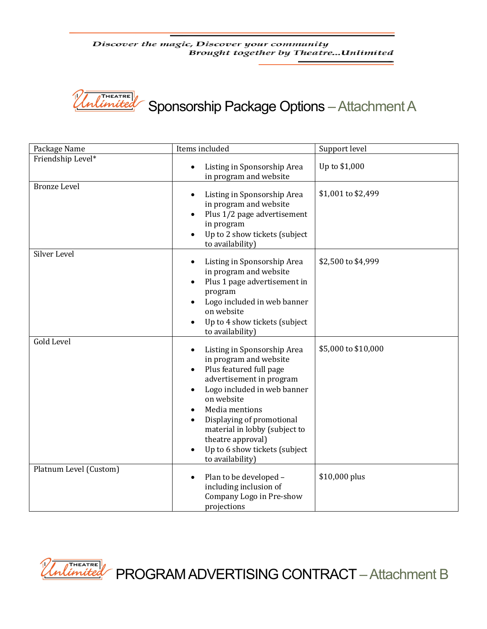Discover the magic, Discover your community Brought together by Theatre...Unlimited



Sponsorship Package Options –Attachment A

| Package Name           | Items included                                                                                                                                                                                                                                                                                                                                             | Support level       |  |
|------------------------|------------------------------------------------------------------------------------------------------------------------------------------------------------------------------------------------------------------------------------------------------------------------------------------------------------------------------------------------------------|---------------------|--|
| Friendship Level*      | Listing in Sponsorship Area<br>$\bullet$<br>in program and website                                                                                                                                                                                                                                                                                         | Up to \$1,000       |  |
| <b>Bronze Level</b>    | Listing in Sponsorship Area<br>$\bullet$<br>in program and website<br>Plus 1/2 page advertisement<br>in program<br>Up to 2 show tickets (subject<br>to availability)                                                                                                                                                                                       | \$1,001 to \$2,499  |  |
| Silver Level           | Listing in Sponsorship Area<br>$\bullet$<br>in program and website<br>Plus 1 page advertisement in<br>$\bullet$<br>program<br>Logo included in web banner<br>$\bullet$<br>on website<br>Up to 4 show tickets (subject<br>$\bullet$<br>to availability)                                                                                                     | \$2,500 to \$4,999  |  |
| <b>Gold Level</b>      | Listing in Sponsorship Area<br>in program and website<br>Plus featured full page<br>$\bullet$<br>advertisement in program<br>Logo included in web banner<br>$\bullet$<br>on website<br>Media mentions<br>Displaying of promotional<br>$\bullet$<br>material in lobby (subject to<br>theatre approval)<br>Up to 6 show tickets (subject<br>to availability) | \$5,000 to \$10,000 |  |
| Platnum Level (Custom) | Plan to be developed -<br>$\bullet$<br>including inclusion of<br>Company Logo in Pre-show<br>projections                                                                                                                                                                                                                                                   | \$10,000 plus       |  |



PROGRAM ADVERTISING CONTRACT –Attachment B